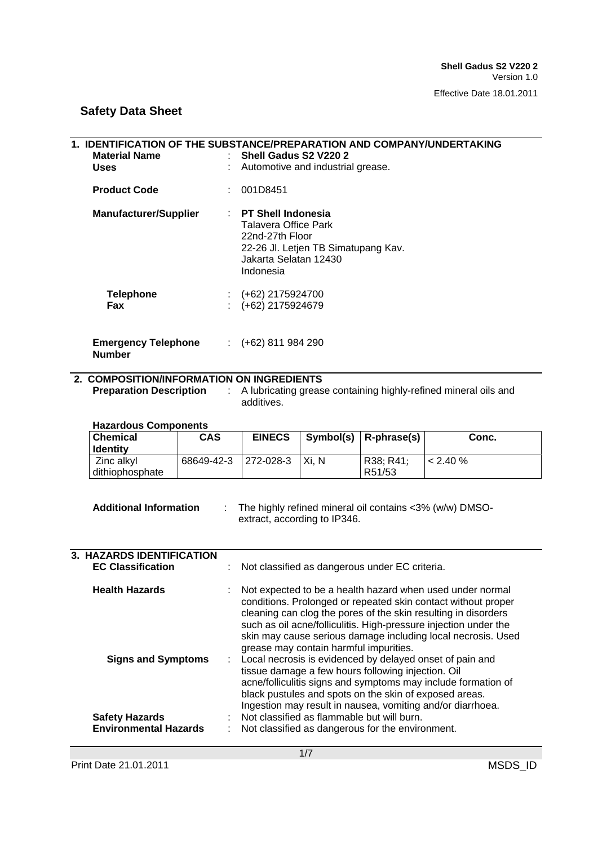## **1. IDENTIFICATION OF THE SUBSTANCE/PREPARATION AND COMPANY/UNDERTAKING Material Name** <br> **1998 - In Shell Gadus S2 V220 2<br>
<b>1998 - Land Automotive and industrial Automotive and industrial Uses** : Automotive and industrial grease. **Product Code** : 001D8451 **Manufacturer/Supplier** : **PT Shell Indonesia**  Talavera Office Park 22nd-27th Floor 22-26 Jl. Letjen TB Simatupang Kav. Jakarta Selatan 12430 Indonesia **Telephone** : (+62) 2175924700<br>**Fax** : (+62) 2175924679 **Fax** : (+62) 2175924679 **Emergency Telephone Number** : (+62) 811 984 290

### **2. COMPOSITION/INFORMATION ON INGREDIENTS**

**Preparation Description : A lubricating grease containing highly-refined mineral oils and** additives.

### **Hazardous Components**

| <b>Chemical</b><br><b>Identity</b> | CAS                  | <b>EINECS</b> |         | Symbol(s) $\vert$ R-phrase(s) | Conc.         |
|------------------------------------|----------------------|---------------|---------|-------------------------------|---------------|
| Zinc alkyl                         | 68649-42-3 272-028-3 |               | I Xi. N | R38: R41:                     | $\leq$ 2.40 % |
| dithiophosphate                    |                      |               |         | R51/53                        |               |

#### **Additional Information** : The highly refined mineral oil contains <3% (w/w) DMSOextract, according to IP346.

| <b>3. HAZARDS IDENTIFICATION</b><br><b>EC Classification</b> |  | : Not classified as dangerous under EC criteria.                                                                                                                                                                                                                                                                                                                             |
|--------------------------------------------------------------|--|------------------------------------------------------------------------------------------------------------------------------------------------------------------------------------------------------------------------------------------------------------------------------------------------------------------------------------------------------------------------------|
| <b>Health Hazards</b>                                        |  | : Not expected to be a health hazard when used under normal<br>conditions. Prolonged or repeated skin contact without proper<br>cleaning can clog the pores of the skin resulting in disorders<br>such as oil acne/folliculitis. High-pressure injection under the<br>skin may cause serious damage including local necrosis. Used<br>grease may contain harmful impurities. |
| <b>Signs and Symptoms</b>                                    |  | Local necrosis is evidenced by delayed onset of pain and<br>tissue damage a few hours following injection. Oil<br>acne/folliculitis signs and symptoms may include formation of<br>black pustules and spots on the skin of exposed areas.<br>Ingestion may result in nausea, vomiting and/or diarrhoea.                                                                      |
| <b>Safety Hazards</b><br><b>Environmental Hazards</b>        |  | Not classified as flammable but will burn.<br>Not classified as dangerous for the environment.                                                                                                                                                                                                                                                                               |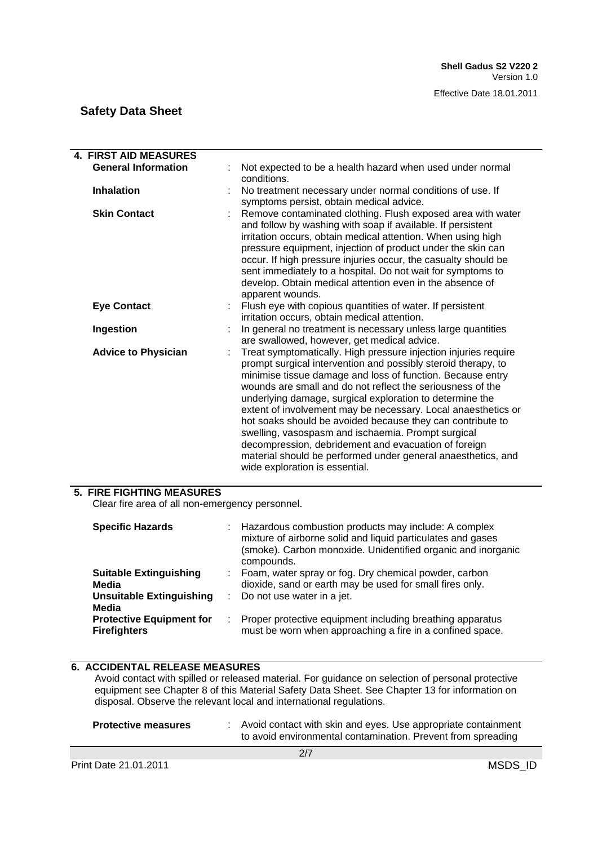| <b>4. FIRST AID MEASURES</b> |                                                                                                                                                                                                                                                                                                                                                                                                                                                                                                                                                                                                                                                                         |  |  |  |  |
|------------------------------|-------------------------------------------------------------------------------------------------------------------------------------------------------------------------------------------------------------------------------------------------------------------------------------------------------------------------------------------------------------------------------------------------------------------------------------------------------------------------------------------------------------------------------------------------------------------------------------------------------------------------------------------------------------------------|--|--|--|--|
| <b>General Information</b>   | Not expected to be a health hazard when used under normal<br>conditions.                                                                                                                                                                                                                                                                                                                                                                                                                                                                                                                                                                                                |  |  |  |  |
| <b>Inhalation</b>            | No treatment necessary under normal conditions of use. If<br>symptoms persist, obtain medical advice.                                                                                                                                                                                                                                                                                                                                                                                                                                                                                                                                                                   |  |  |  |  |
| <b>Skin Contact</b>          | Remove contaminated clothing. Flush exposed area with water<br>and follow by washing with soap if available. If persistent<br>irritation occurs, obtain medical attention. When using high<br>pressure equipment, injection of product under the skin can<br>occur. If high pressure injuries occur, the casualty should be<br>sent immediately to a hospital. Do not wait for symptoms to<br>develop. Obtain medical attention even in the absence of<br>apparent wounds.                                                                                                                                                                                              |  |  |  |  |
| <b>Eye Contact</b>           | Flush eye with copious quantities of water. If persistent<br>irritation occurs, obtain medical attention.                                                                                                                                                                                                                                                                                                                                                                                                                                                                                                                                                               |  |  |  |  |
| Ingestion                    | In general no treatment is necessary unless large quantities<br>are swallowed, however, get medical advice.                                                                                                                                                                                                                                                                                                                                                                                                                                                                                                                                                             |  |  |  |  |
| <b>Advice to Physician</b>   | Treat symptomatically. High pressure injection injuries require<br>prompt surgical intervention and possibly steroid therapy, to<br>minimise tissue damage and loss of function. Because entry<br>wounds are small and do not reflect the seriousness of the<br>underlying damage, surgical exploration to determine the<br>extent of involvement may be necessary. Local anaesthetics or<br>hot soaks should be avoided because they can contribute to<br>swelling, vasospasm and ischaemia. Prompt surgical<br>decompression, debridement and evacuation of foreign<br>material should be performed under general anaesthetics, and<br>wide exploration is essential. |  |  |  |  |

### **5. FIRE FIGHTING MEASURES**

Clear fire area of all non-emergency personnel.

| <b>Specific Hazards</b>                                                            |              | : Hazardous combustion products may include: A complex<br>mixture of airborne solid and liquid particulates and gases<br>(smoke). Carbon monoxide. Unidentified organic and inorganic<br>compounds. |
|------------------------------------------------------------------------------------|--------------|-----------------------------------------------------------------------------------------------------------------------------------------------------------------------------------------------------|
| <b>Suitable Extinguishing</b><br>Media<br><b>Unsuitable Extinguishing</b><br>Media | ÷.<br>$\sim$ | Foam, water spray or fog. Dry chemical powder, carbon<br>dioxide, sand or earth may be used for small fires only.<br>Do not use water in a jet.                                                     |
| <b>Protective Equipment for</b><br><b>Firefighters</b>                             | ÷.           | Proper protective equipment including breathing apparatus<br>must be worn when approaching a fire in a confined space.                                                                              |

### **6. ACCIDENTAL RELEASE MEASURES**

Avoid contact with spilled or released material. For guidance on selection of personal protective equipment see Chapter 8 of this Material Safety Data Sheet. See Chapter 13 for information on disposal. Observe the relevant local and international regulations.

| <b>Protective measures</b>   |  | Avoid contact with skin and eyes. Use appropriate containment<br>to avoid environmental contamination. Prevent from spreading |         |  |
|------------------------------|--|-------------------------------------------------------------------------------------------------------------------------------|---------|--|
|                              |  | 2/7                                                                                                                           |         |  |
| <b>Print Date 21.01.2011</b> |  |                                                                                                                               | MSDS ID |  |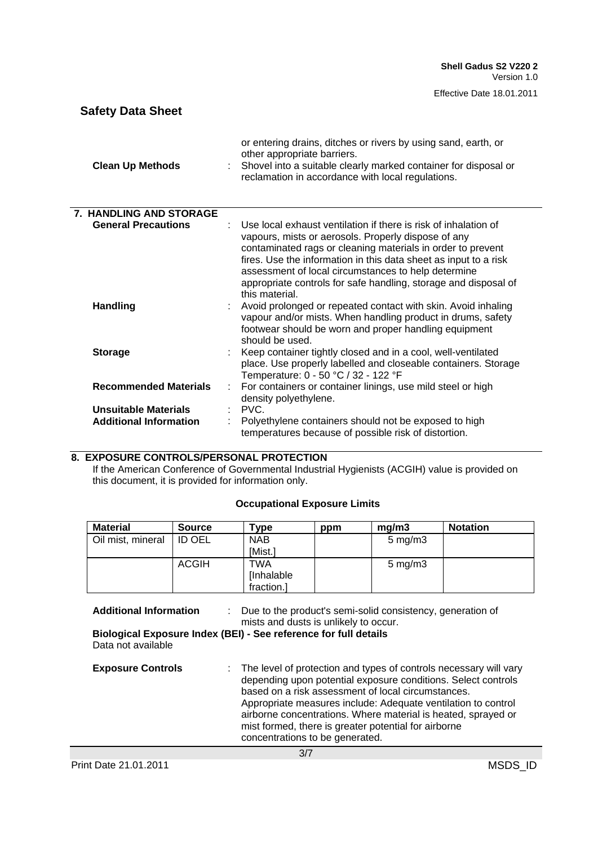| <b>Safety Data Sheet</b>      |                                                                                                                                                                                                                                                                                                                                                                                                       |
|-------------------------------|-------------------------------------------------------------------------------------------------------------------------------------------------------------------------------------------------------------------------------------------------------------------------------------------------------------------------------------------------------------------------------------------------------|
| <b>Clean Up Methods</b>       | or entering drains, ditches or rivers by using sand, earth, or<br>other appropriate barriers.<br>Shovel into a suitable clearly marked container for disposal or<br>reclamation in accordance with local regulations.                                                                                                                                                                                 |
| 7. HANDLING AND STORAGE       |                                                                                                                                                                                                                                                                                                                                                                                                       |
| <b>General Precautions</b>    | Use local exhaust ventilation if there is risk of inhalation of<br>vapours, mists or aerosols. Properly dispose of any<br>contaminated rags or cleaning materials in order to prevent<br>fires. Use the information in this data sheet as input to a risk<br>assessment of local circumstances to help determine<br>appropriate controls for safe handling, storage and disposal of<br>this material. |
| <b>Handling</b>               | Avoid prolonged or repeated contact with skin. Avoid inhaling<br>vapour and/or mists. When handling product in drums, safety<br>footwear should be worn and proper handling equipment<br>should be used.                                                                                                                                                                                              |
| <b>Storage</b>                | Keep container tightly closed and in a cool, well-ventilated<br>place. Use properly labelled and closeable containers. Storage<br>Temperature: 0 - 50 °C / 32 - 122 °F                                                                                                                                                                                                                                |
| <b>Recommended Materials</b>  | For containers or container linings, use mild steel or high<br>density polyethylene.                                                                                                                                                                                                                                                                                                                  |
| Unsuitable Materials          | PVC.                                                                                                                                                                                                                                                                                                                                                                                                  |
| <b>Additional Information</b> | Polyethylene containers should not be exposed to high<br>temperatures because of possible risk of distortion.                                                                                                                                                                                                                                                                                         |

### **8. EXPOSURE CONTROLS/PERSONAL PROTECTION**

If the American Conference of Governmental Industrial Hygienists (ACGIH) value is provided on this document, it is provided for information only.

### **Occupational Exposure Limits**

| <b>Material</b>   | <b>Source</b> | Type       | ppm | ma/m3              | <b>Notation</b> |
|-------------------|---------------|------------|-----|--------------------|-----------------|
| Oil mist, mineral | ID OEL        | <b>NAB</b> |     | $5 \text{ mg/m}$ 3 |                 |
|                   |               | [Mist.]    |     |                    |                 |
|                   | <b>ACGIH</b>  | <b>TWA</b> |     | $5 \text{ mg/m}$ 3 |                 |
|                   |               | [Inhalable |     |                    |                 |
|                   |               | fraction.] |     |                    |                 |

| <b>Additional Information</b> | Due to the product's semi-solid consistency, generation of<br>mists and dusts is unlikely to occur.                                                                                                                                                                                                                                                                                                                     |
|-------------------------------|-------------------------------------------------------------------------------------------------------------------------------------------------------------------------------------------------------------------------------------------------------------------------------------------------------------------------------------------------------------------------------------------------------------------------|
| Data not available            | Biological Exposure Index (BEI) - See reference for full details                                                                                                                                                                                                                                                                                                                                                        |
| <b>Exposure Controls</b>      | : The level of protection and types of controls necessary will vary<br>depending upon potential exposure conditions. Select controls<br>based on a risk assessment of local circumstances.<br>Appropriate measures include: Adequate ventilation to control<br>airborne concentrations. Where material is heated, sprayed or<br>mist formed, there is greater potential for airborne<br>concentrations to be generated. |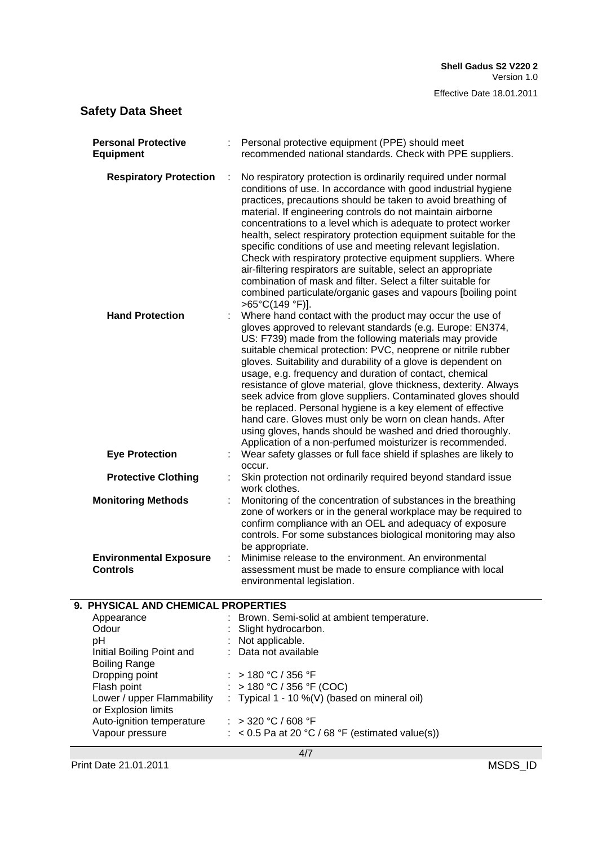| <b>Respiratory Protection</b><br>No respiratory protection is ordinarily required under normal<br>conditions of use. In accordance with good industrial hygiene<br>practices, precautions should be taken to avoid breathing of<br>material. If engineering controls do not maintain airborne<br>concentrations to a level which is adequate to protect worker<br>health, select respiratory protection equipment suitable for the<br>specific conditions of use and meeting relevant legislation.<br>Check with respiratory protective equipment suppliers. Where<br>air-filtering respirators are suitable, select an appropriate<br>combination of mask and filter. Select a filter suitable for<br>combined particulate/organic gases and vapours [boiling point<br>>65°C(149 °F)].<br><b>Hand Protection</b><br>Where hand contact with the product may occur the use of<br>gloves approved to relevant standards (e.g. Europe: EN374,<br>US: F739) made from the following materials may provide<br>suitable chemical protection: PVC, neoprene or nitrile rubber<br>gloves. Suitability and durability of a glove is dependent on<br>usage, e.g. frequency and duration of contact, chemical<br>resistance of glove material, glove thickness, dexterity. Always<br>seek advice from glove suppliers. Contaminated gloves should<br>be replaced. Personal hygiene is a key element of effective<br>hand care. Gloves must only be worn on clean hands. After<br>using gloves, hands should be washed and dried thoroughly.<br>Application of a non-perfumed moisturizer is recommended.<br>Wear safety glasses or full face shield if splashes are likely to<br><b>Eye Protection</b><br>occur.<br><b>Protective Clothing</b><br>Skin protection not ordinarily required beyond standard issue<br>work clothes.<br><b>Monitoring Methods</b><br>Monitoring of the concentration of substances in the breathing<br>zone of workers or in the general workplace may be required to<br>confirm compliance with an OEL and adequacy of exposure<br>controls. For some substances biological monitoring may also<br>be appropriate.<br>Minimise release to the environment. An environmental<br><b>Environmental Exposure</b><br><b>Controls</b><br>assessment must be made to ensure compliance with local<br>environmental legislation.<br>9. PHYSICAL AND CHEMICAL PROPERTIES<br>Brown. Semi-solid at ambient temperature.<br>Appearance<br>Odour<br>Slight hydrocarbon.<br>: Not applicable.<br>pH<br>Data not available<br>Initial Boiling Point and<br><b>Boiling Range</b><br>> 180 °C / 356 °F<br>Dropping point<br>Flash point<br>: > 180 °C / 356 °F (COC)<br>Lower / upper Flammability<br>: Typical 1 - 10 %(V) (based on mineral oil)<br>or Explosion limits<br>: > 320 °C / 608 °F<br>Auto-ignition temperature<br>Vapour pressure<br>$\therefore$ < 0.5 Pa at 20 °C / 68 °F (estimated value(s)) | <b>Personal Protective</b><br><b>Equipment</b> | Personal protective equipment (PPE) should meet<br>recommended national standards. Check with PPE suppliers. |
|-------------------------------------------------------------------------------------------------------------------------------------------------------------------------------------------------------------------------------------------------------------------------------------------------------------------------------------------------------------------------------------------------------------------------------------------------------------------------------------------------------------------------------------------------------------------------------------------------------------------------------------------------------------------------------------------------------------------------------------------------------------------------------------------------------------------------------------------------------------------------------------------------------------------------------------------------------------------------------------------------------------------------------------------------------------------------------------------------------------------------------------------------------------------------------------------------------------------------------------------------------------------------------------------------------------------------------------------------------------------------------------------------------------------------------------------------------------------------------------------------------------------------------------------------------------------------------------------------------------------------------------------------------------------------------------------------------------------------------------------------------------------------------------------------------------------------------------------------------------------------------------------------------------------------------------------------------------------------------------------------------------------------------------------------------------------------------------------------------------------------------------------------------------------------------------------------------------------------------------------------------------------------------------------------------------------------------------------------------------------------------------------------------------------------------------------------------------------------------------------------------------------------------------------------------------------------------------------------------------------------------------------------------------------------------------------------------------------------------------------------------------------------------------------------------------------------------------------------------------------------------------------------------------------|------------------------------------------------|--------------------------------------------------------------------------------------------------------------|
|                                                                                                                                                                                                                                                                                                                                                                                                                                                                                                                                                                                                                                                                                                                                                                                                                                                                                                                                                                                                                                                                                                                                                                                                                                                                                                                                                                                                                                                                                                                                                                                                                                                                                                                                                                                                                                                                                                                                                                                                                                                                                                                                                                                                                                                                                                                                                                                                                                                                                                                                                                                                                                                                                                                                                                                                                                                                                                                   |                                                |                                                                                                              |
|                                                                                                                                                                                                                                                                                                                                                                                                                                                                                                                                                                                                                                                                                                                                                                                                                                                                                                                                                                                                                                                                                                                                                                                                                                                                                                                                                                                                                                                                                                                                                                                                                                                                                                                                                                                                                                                                                                                                                                                                                                                                                                                                                                                                                                                                                                                                                                                                                                                                                                                                                                                                                                                                                                                                                                                                                                                                                                                   |                                                |                                                                                                              |
|                                                                                                                                                                                                                                                                                                                                                                                                                                                                                                                                                                                                                                                                                                                                                                                                                                                                                                                                                                                                                                                                                                                                                                                                                                                                                                                                                                                                                                                                                                                                                                                                                                                                                                                                                                                                                                                                                                                                                                                                                                                                                                                                                                                                                                                                                                                                                                                                                                                                                                                                                                                                                                                                                                                                                                                                                                                                                                                   |                                                |                                                                                                              |
|                                                                                                                                                                                                                                                                                                                                                                                                                                                                                                                                                                                                                                                                                                                                                                                                                                                                                                                                                                                                                                                                                                                                                                                                                                                                                                                                                                                                                                                                                                                                                                                                                                                                                                                                                                                                                                                                                                                                                                                                                                                                                                                                                                                                                                                                                                                                                                                                                                                                                                                                                                                                                                                                                                                                                                                                                                                                                                                   |                                                |                                                                                                              |
|                                                                                                                                                                                                                                                                                                                                                                                                                                                                                                                                                                                                                                                                                                                                                                                                                                                                                                                                                                                                                                                                                                                                                                                                                                                                                                                                                                                                                                                                                                                                                                                                                                                                                                                                                                                                                                                                                                                                                                                                                                                                                                                                                                                                                                                                                                                                                                                                                                                                                                                                                                                                                                                                                                                                                                                                                                                                                                                   |                                                |                                                                                                              |
|                                                                                                                                                                                                                                                                                                                                                                                                                                                                                                                                                                                                                                                                                                                                                                                                                                                                                                                                                                                                                                                                                                                                                                                                                                                                                                                                                                                                                                                                                                                                                                                                                                                                                                                                                                                                                                                                                                                                                                                                                                                                                                                                                                                                                                                                                                                                                                                                                                                                                                                                                                                                                                                                                                                                                                                                                                                                                                                   |                                                |                                                                                                              |
|                                                                                                                                                                                                                                                                                                                                                                                                                                                                                                                                                                                                                                                                                                                                                                                                                                                                                                                                                                                                                                                                                                                                                                                                                                                                                                                                                                                                                                                                                                                                                                                                                                                                                                                                                                                                                                                                                                                                                                                                                                                                                                                                                                                                                                                                                                                                                                                                                                                                                                                                                                                                                                                                                                                                                                                                                                                                                                                   |                                                |                                                                                                              |
|                                                                                                                                                                                                                                                                                                                                                                                                                                                                                                                                                                                                                                                                                                                                                                                                                                                                                                                                                                                                                                                                                                                                                                                                                                                                                                                                                                                                                                                                                                                                                                                                                                                                                                                                                                                                                                                                                                                                                                                                                                                                                                                                                                                                                                                                                                                                                                                                                                                                                                                                                                                                                                                                                                                                                                                                                                                                                                                   |                                                |                                                                                                              |
|                                                                                                                                                                                                                                                                                                                                                                                                                                                                                                                                                                                                                                                                                                                                                                                                                                                                                                                                                                                                                                                                                                                                                                                                                                                                                                                                                                                                                                                                                                                                                                                                                                                                                                                                                                                                                                                                                                                                                                                                                                                                                                                                                                                                                                                                                                                                                                                                                                                                                                                                                                                                                                                                                                                                                                                                                                                                                                                   |                                                |                                                                                                              |
|                                                                                                                                                                                                                                                                                                                                                                                                                                                                                                                                                                                                                                                                                                                                                                                                                                                                                                                                                                                                                                                                                                                                                                                                                                                                                                                                                                                                                                                                                                                                                                                                                                                                                                                                                                                                                                                                                                                                                                                                                                                                                                                                                                                                                                                                                                                                                                                                                                                                                                                                                                                                                                                                                                                                                                                                                                                                                                                   |                                                |                                                                                                              |
|                                                                                                                                                                                                                                                                                                                                                                                                                                                                                                                                                                                                                                                                                                                                                                                                                                                                                                                                                                                                                                                                                                                                                                                                                                                                                                                                                                                                                                                                                                                                                                                                                                                                                                                                                                                                                                                                                                                                                                                                                                                                                                                                                                                                                                                                                                                                                                                                                                                                                                                                                                                                                                                                                                                                                                                                                                                                                                                   |                                                |                                                                                                              |
|                                                                                                                                                                                                                                                                                                                                                                                                                                                                                                                                                                                                                                                                                                                                                                                                                                                                                                                                                                                                                                                                                                                                                                                                                                                                                                                                                                                                                                                                                                                                                                                                                                                                                                                                                                                                                                                                                                                                                                                                                                                                                                                                                                                                                                                                                                                                                                                                                                                                                                                                                                                                                                                                                                                                                                                                                                                                                                                   |                                                |                                                                                                              |
|                                                                                                                                                                                                                                                                                                                                                                                                                                                                                                                                                                                                                                                                                                                                                                                                                                                                                                                                                                                                                                                                                                                                                                                                                                                                                                                                                                                                                                                                                                                                                                                                                                                                                                                                                                                                                                                                                                                                                                                                                                                                                                                                                                                                                                                                                                                                                                                                                                                                                                                                                                                                                                                                                                                                                                                                                                                                                                                   |                                                |                                                                                                              |
|                                                                                                                                                                                                                                                                                                                                                                                                                                                                                                                                                                                                                                                                                                                                                                                                                                                                                                                                                                                                                                                                                                                                                                                                                                                                                                                                                                                                                                                                                                                                                                                                                                                                                                                                                                                                                                                                                                                                                                                                                                                                                                                                                                                                                                                                                                                                                                                                                                                                                                                                                                                                                                                                                                                                                                                                                                                                                                                   |                                                |                                                                                                              |
|                                                                                                                                                                                                                                                                                                                                                                                                                                                                                                                                                                                                                                                                                                                                                                                                                                                                                                                                                                                                                                                                                                                                                                                                                                                                                                                                                                                                                                                                                                                                                                                                                                                                                                                                                                                                                                                                                                                                                                                                                                                                                                                                                                                                                                                                                                                                                                                                                                                                                                                                                                                                                                                                                                                                                                                                                                                                                                                   |                                                |                                                                                                              |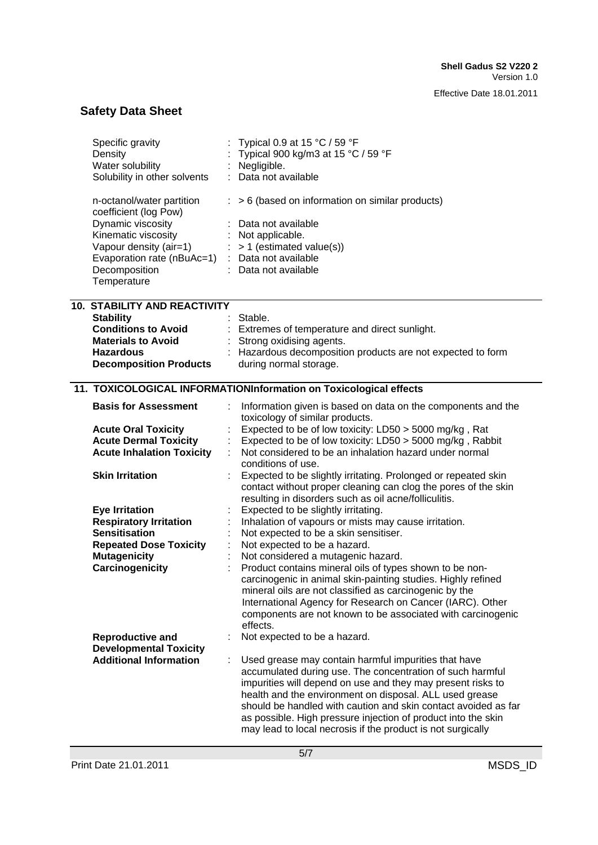| Specific gravity<br>Density<br>Water solubility<br>Solubility in other solvents | Typical 0.9 at 15 $\degree$ C / 59 $\degree$ F<br>Typical 900 kg/m3 at 15 °C / 59 °F<br>Negligible.<br>Data not available |
|---------------------------------------------------------------------------------|---------------------------------------------------------------------------------------------------------------------------|
| n-octanol/water partition<br>coefficient (log Pow)                              | $:$ > 6 (based on information on similar products)                                                                        |
| Dynamic viscosity                                                               | Data not available                                                                                                        |
| Kinematic viscosity                                                             | : Not applicable.                                                                                                         |
| Vapour density (air=1)                                                          | $:$ > 1 (estimated value(s))                                                                                              |
| Evaporation rate (nBuAc=1)<br>Decomposition                                     | : Data not available<br>: Data not available                                                                              |
| Temperature                                                                     |                                                                                                                           |
| <b>10. STABILITY AND REACTIVITY</b>                                             |                                                                                                                           |
| <b>Stability</b><br><b>Conditions to Avoid</b>                                  | Stable.<br>: Extremes of temperature and direct sunlight.                                                                 |
| <b>Materials to Avoid</b>                                                       | : Strong oxidising agents.                                                                                                |
| <b>Hazardous</b>                                                                | : Hazardous decomposition products are not expected to form                                                               |
| <b>Decomposition Products</b>                                                   | during normal storage.                                                                                                    |
|                                                                                 | 11. TOXICOLOGICAL INFORMATIONInformation on Toxicological effects                                                         |
| <b>Basis for Assessment</b>                                                     | Information given is based on data on the components and the<br>toxicology of similar products.                           |
| <b>Acute Oral Toxicity</b>                                                      | Expected to be of low toxicity: LD50 > 5000 mg/kg, Rat                                                                    |
| <b>Acute Dermal Toxicity</b>                                                    | Expected to be of low toxicity: LD50 > 5000 mg/kg, Rabbit                                                                 |
| <b>Acute Inhalation Toxicity</b>                                                | Not considered to be an inhalation hazard under normal<br>conditions of use.                                              |
| <b>Skin Irritation</b>                                                          | Expected to be slightly irritating. Prolonged or repeated skin                                                            |
|                                                                                 | contact without proper cleaning can clog the pores of the skin                                                            |
|                                                                                 | resulting in disorders such as oil acne/folliculitis.<br>Expected to be slightly irritating.                              |
| <b>Eye Irritation</b><br><b>Respiratory Irritation</b>                          | Inhalation of vapours or mists may cause irritation.                                                                      |
| <b>Sensitisation</b>                                                            | Not expected to be a skin sensitiser.                                                                                     |
| <b>Repeated Dose Toxicity</b>                                                   | Not expected to be a hazard.                                                                                              |
| <b>Mutagenicity</b>                                                             | Not considered a mutagenic hazard.                                                                                        |
| Carcinogenicity                                                                 | Product contains mineral oils of types shown to be non-                                                                   |
|                                                                                 | carcinogenic in animal skin-painting studies. Highly refined<br>mineral oils are not classified as carcinogenic by the    |
|                                                                                 | International Agency for Research on Cancer (IARC). Other                                                                 |
|                                                                                 | components are not known to be associated with carcinogenic                                                               |
|                                                                                 | effects.                                                                                                                  |
| <b>Reproductive and</b>                                                         | Not expected to be a hazard.                                                                                              |
| <b>Developmental Toxicity</b>                                                   |                                                                                                                           |
| <b>Additional Information</b>                                                   | Used grease may contain harmful impurities that have<br>accumulated during use. The concentration of such harmful         |
|                                                                                 | impurities will depend on use and they may present risks to                                                               |
|                                                                                 | health and the environment on disposal. ALL used grease                                                                   |
|                                                                                 | should be handled with caution and skin contact avoided as far                                                            |
|                                                                                 | as possible. High pressure injection of product into the skin                                                             |
|                                                                                 | may lead to local necrosis if the product is not surgically                                                               |
|                                                                                 |                                                                                                                           |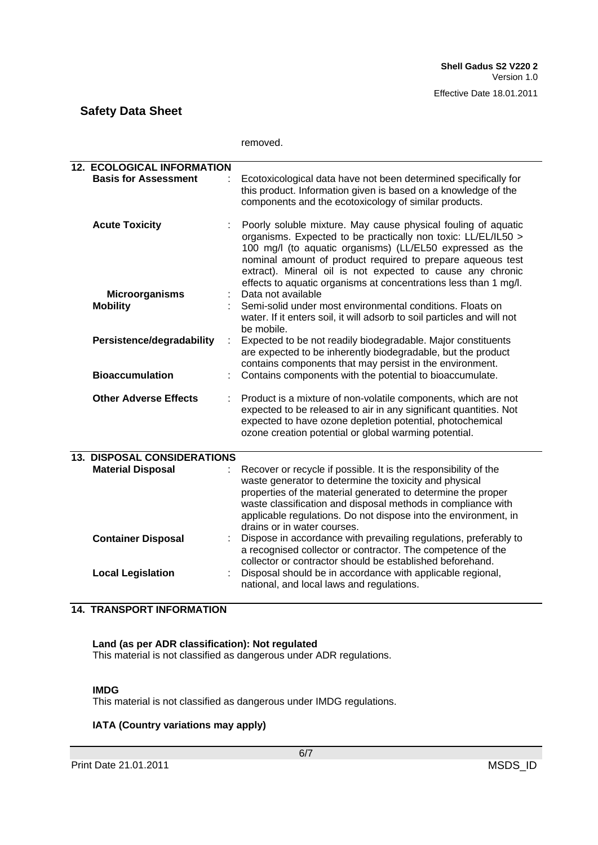|                                                                  | removed.                                                                                                                                                                                                                                                                                                                                                                                    |
|------------------------------------------------------------------|---------------------------------------------------------------------------------------------------------------------------------------------------------------------------------------------------------------------------------------------------------------------------------------------------------------------------------------------------------------------------------------------|
| <b>12. ECOLOGICAL INFORMATION</b><br><b>Basis for Assessment</b> | Ecotoxicological data have not been determined specifically for<br>this product. Information given is based on a knowledge of the<br>components and the ecotoxicology of similar products.                                                                                                                                                                                                  |
| <b>Acute Toxicity</b>                                            | Poorly soluble mixture. May cause physical fouling of aquatic<br>organisms. Expected to be practically non toxic: LL/EL/IL50 ><br>100 mg/l (to aquatic organisms) (LL/EL50 expressed as the<br>nominal amount of product required to prepare aqueous test<br>extract). Mineral oil is not expected to cause any chronic<br>effects to aquatic organisms at concentrations less than 1 mg/l. |
| <b>Microorganisms</b><br><b>Mobility</b>                         | Data not available<br>Semi-solid under most environmental conditions. Floats on<br>water. If it enters soil, it will adsorb to soil particles and will not<br>be mobile.                                                                                                                                                                                                                    |
| Persistence/degradability<br>÷                                   | Expected to be not readily biodegradable. Major constituents<br>are expected to be inherently biodegradable, but the product<br>contains components that may persist in the environment.                                                                                                                                                                                                    |
| <b>Bioaccumulation</b>                                           | Contains components with the potential to bioaccumulate.                                                                                                                                                                                                                                                                                                                                    |
| <b>Other Adverse Effects</b><br>÷                                | Product is a mixture of non-volatile components, which are not<br>expected to be released to air in any significant quantities. Not<br>expected to have ozone depletion potential, photochemical<br>ozone creation potential or global warming potential.                                                                                                                                   |
| <b>13. DISPOSAL CONSIDERATIONS</b><br><b>Material Disposal</b>   | Recover or recycle if possible. It is the responsibility of the<br>waste generator to determine the toxicity and physical<br>properties of the material generated to determine the proper<br>waste classification and disposal methods in compliance with<br>applicable regulations. Do not dispose into the environment, in<br>drains or in water courses.                                 |
| <b>Container Disposal</b><br><b>Local Legislation</b>            | Dispose in accordance with prevailing regulations, preferably to<br>a recognised collector or contractor. The competence of the<br>collector or contractor should be established beforehand.<br>Disposal should be in accordance with applicable regional,                                                                                                                                  |
|                                                                  | national, and local laws and regulations.                                                                                                                                                                                                                                                                                                                                                   |

### **14. TRANSPORT INFORMATION**

### **Land (as per ADR classification): Not regulated**

This material is not classified as dangerous under ADR regulations.

#### **IMDG**

This material is not classified as dangerous under IMDG regulations.

### **IATA (Country variations may apply)**